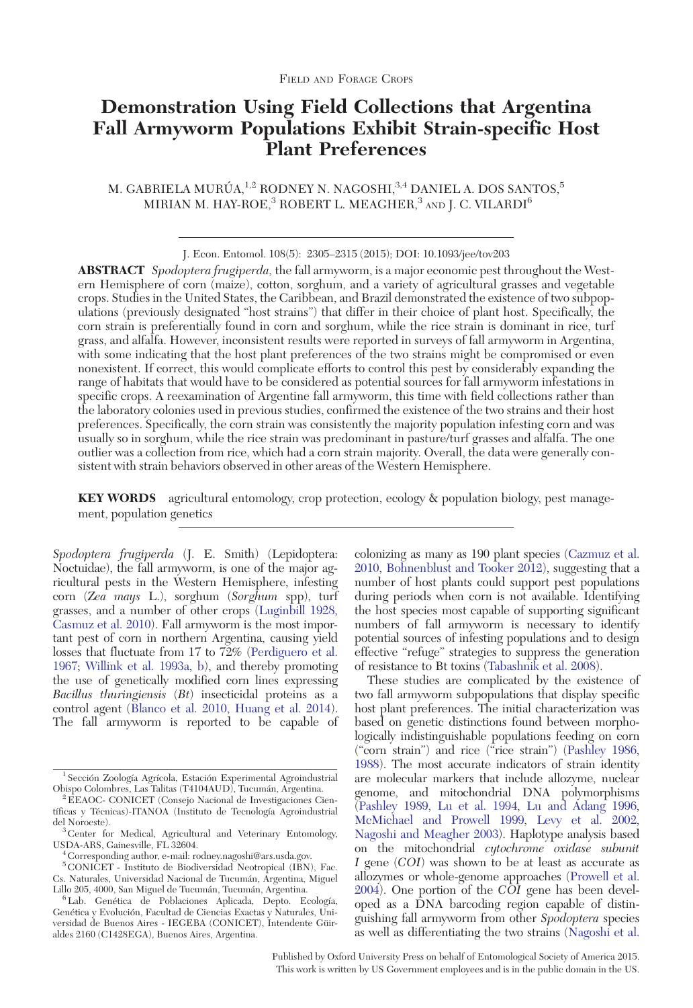# Demonstration Using Field Collections that Argentina Fall Armyworm Populations Exhibit Strain-specific Host Plant Preferences

M. GABRIELA MURÚA,  $^{1,2}$  RODNEY N. NAGOSHI,  $^{3,4}$  DANIEL A. DOS SANTOS,  $^5$ MIRIAN M. HAY-ROE,<sup>3</sup> ROBERT L. MEAGHER,<sup>3</sup> AND J. C. VILARDI<sup>6</sup>

J. Econ. Entomol. 108(5): 2305–2315 (2015); DOI: 10.1093/jee/tov203

ABSTRACT Spodoptera frugiperda, the fall armyworm, is a major economic pest throughout the Western Hemisphere of corn (maize), cotton, sorghum, and a variety of agricultural grasses and vegetable crops. Studies in the United States, the Caribbean, and Brazil demonstrated the existence of two subpopulations (previously designated "host strains") that differ in their choice of plant host. Specifically, the corn strain is preferentially found in corn and sorghum, while the rice strain is dominant in rice, turf grass, and alfalfa. However, inconsistent results were reported in surveys of fall armyworm in Argentina, with some indicating that the host plant preferences of the two strains might be compromised or even nonexistent. If correct, this would complicate efforts to control this pest by considerably expanding the range of habitats that would have to be considered as potential sources for fall armyworm infestations in specific crops. A reexamination of Argentine fall armyworm, this time with field collections rather than the laboratory colonies used in previous studies, confirmed the existence of the two strains and their host preferences. Specifically, the corn strain was consistently the majority population infesting corn and was usually so in sorghum, while the rice strain was predominant in pasture/turf grasses and alfalfa. The one outlier was a collection from rice, which had a corn strain majority. Overall, the data were generally consistent with strain behaviors observed in other areas of the Western Hemisphere.

KEY WORDS agricultural entomology, crop protection, ecology & population biology, pest management, population genetics

Spodoptera frugiperda (J. E. Smith) (Lepidoptera: Noctuidae), the fall armyworm, is one of the major agricultural pests in the Western Hemisphere, infesting corn (Zea mays L.), sorghum (Sorghum spp), turf grasses, and a number of other crops [\(Luginbill 1928](#page-9-0), [Casmuz et al. 2010\)](#page-9-0). Fall armyworm is the most important pest of corn in northern Argentina, causing yield losses that fluctuate from 17 to 72% [\(Perdiguero et al.](#page-9-0) [1967](#page-9-0); [Willink et al. 1993a](#page-10-0), [b\)](#page-10-0), and thereby promoting the use of genetically modified corn lines expressing Bacillus thuringiensis (Bt) insecticidal proteins as a control agent [\(Blanco et al. 2010](#page-9-0), [Huang et al. 2014](#page-9-0)). The fall armyworm is reported to be capable of

colonizing as many as 190 plant species [\(Cazmuz et al.](#page-9-0) [2010](#page-9-0), [Bohnenblust and Tooker 2012\)](#page-9-0), suggesting that a number of host plants could support pest populations during periods when corn is not available. Identifying the host species most capable of supporting significant numbers of fall armyworm is necessary to identify potential sources of infesting populations and to design effective "refuge" strategies to suppress the generation of resistance to Bt toxins ([Tabashnik et al. 2008\)](#page-10-0).

These studies are complicated by the existence of two fall armyworm subpopulations that display specific host plant preferences. The initial characterization was based on genetic distinctions found between morphologically indistinguishable populations feeding on corn ("corn strain") and rice ("rice strain") [\(Pashley 1986,](#page-9-0) [1988](#page-9-0)). The most accurate indicators of strain identity are molecular markers that include allozyme, nuclear genome, and mitochondrial DNA polymorphisms [\(Pashley 1989](#page-9-0), [Lu et al. 1994,](#page-9-0) [Lu and Adang 1996,](#page-9-0) [McMichael and Prowell 1999,](#page-9-0) [Levy et al. 2002,](#page-9-0) [Nagoshi and Meagher 2003](#page-9-0)). Haplotype analysis based on the mitochondrial cytochrome oxidase subunit I gene (COI) was shown to be at least as accurate as allozymes or whole-genome approaches ([Prowell et al.](#page-10-0) [2004](#page-10-0)). One portion of the COI gene has been developed as a DNA barcoding region capable of distinguishing fall armyworm from other Spodoptera species as well as differentiating the two strains [\(Nagoshi et al.](#page-9-0)

Published by Oxford University Press on behalf of Entomological Society of America 2015. This work is written by US Government employees and is in the public domain in the US.

 $^{-1}$ Sección Zoología Agrícola, Estación Experimental Agroindustrial Obispo Colombres, Las Talitas (T4104AUD), Tucumán, Argentina.

 $^{2}$ EEAOC- CONICET (Consejo Nacional de Investigaciones Científicas y Técnicas)-ITANOA (Instituto de Tecnología Agroindustrial del Noroeste).

 $^3$  Center for Medical, Agricultural and Veterinary Entomology, USDA-ARS, Gainesville, FL 32604.

Corresponding author, e-mail: rodney.nagoshi@ars.usda.gov.

<sup>5</sup> CONICET - Instituto de Biodiversidad Neotropical (IBN), Fac. Cs. Naturales, Universidad Nacional de Tucumán, Árgentina, Miguel<br>Lillo 205, 4000, San Miguel de Tucumán, Tucumán, Argentina.

 ${}^{6}$ Lab. Genética de Poblaciones Aplicada, Depto. Ecología, Genética y Evolución, Facultad de Ciencias Exactas y Naturales, Universidad de Buenos Aires - IEGEBA (CONICET), Intendente Güiraldes 2160 (C1428EGA), Buenos Aires, Argentina.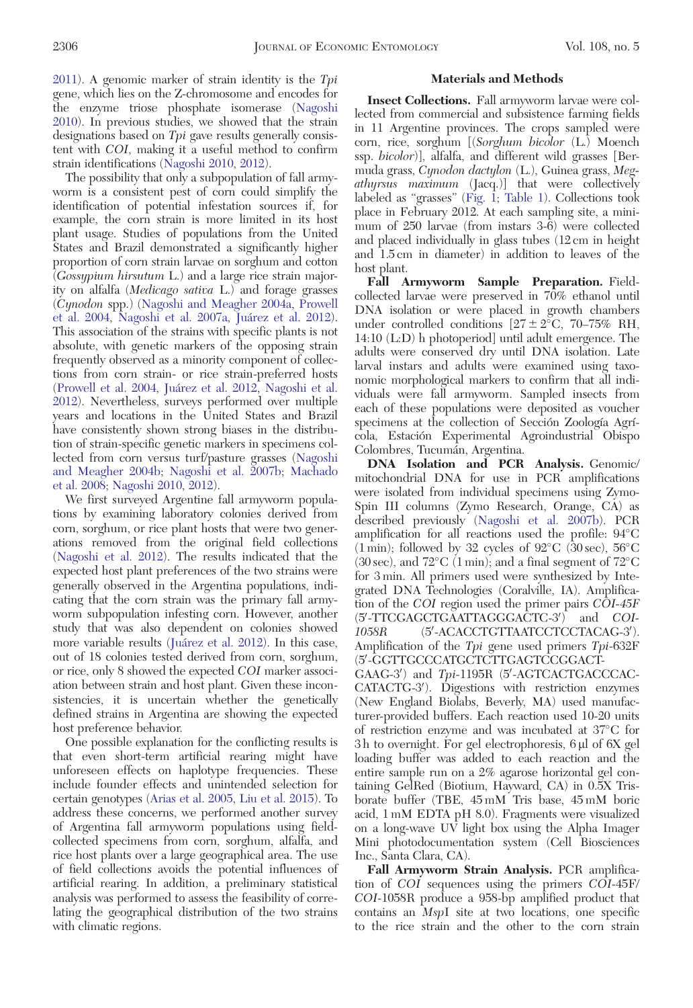$2011$ ). A genomic marker of strain identity is the  $Tpi$ gene, which lies on the Z-chromosome and encodes for the enzyme triose phosphate isomerase ([Nagoshi](#page-9-0) [2010](#page-9-0)). In previous studies, we showed that the strain designations based on Tpi gave results generally consistent with COI, making it a useful method to confirm strain identifications [\(Nagoshi 2010,](#page-9-0) [2012](#page-9-0)).

The possibility that only a subpopulation of fall armyworm is a consistent pest of corn could simplify the identification of potential infestation sources if, for example, the corn strain is more limited in its host plant usage. Studies of populations from the United States and Brazil demonstrated a significantly higher proportion of corn strain larvae on sorghum and cotton  $\overline{(Gosypium\textit{hirsutum L.)}}$  and a large rice strain majority on alfalfa (Medicago sativa L.) and forage grasses (Cynodon spp.) [\(Nagoshi and Meagher 2004a](#page-9-0), [Prowell](#page-10-0) [et al. 2004](#page-10-0), [Nagoshi et al. 2007a,](#page-9-0) Juárez et al. 2012). This association of the strains with specific plants is not absolute, with genetic markers of the opposing strain frequently observed as a minority component of collections from corn strain- or rice strain-preferred hosts ([Prowell et al. 2004,](#page-10-0) [Jua´rez et al. 2012,](#page-9-0) [Nagoshi et al.](#page-9-0) [2012](#page-9-0)). Nevertheless, surveys performed over multiple years and locations in the United States and Brazil have consistently shown strong biases in the distribution of strain-specific genetic markers in specimens collected from corn versus turf/pasture grasses ([Nagoshi](#page-9-0) [and Meagher 2004b;](#page-9-0) [Nagoshi et al. 2007b](#page-9-0); [Machado](#page-9-0) [et al. 2008;](#page-9-0) [Nagoshi 2010](#page-9-0), [2012](#page-9-0)).

We first surveyed Argentine fall armyworm populations by examining laboratory colonies derived from corn, sorghum, or rice plant hosts that were two generations removed from the original field collections ([Nagoshi et al. 2012\)](#page-9-0). The results indicated that the expected host plant preferences of the two strains were generally observed in the Argentina populations, indicating that the corn strain was the primary fall armyworm subpopulation infesting corn. However, another study that was also dependent on colonies showed more variable results (Juárez et al. 2012). In this case, out of 18 colonies tested derived from corn, sorghum, or rice, only 8 showed the expected COI marker association between strain and host plant. Given these inconsistencies, it is uncertain whether the genetically defined strains in Argentina are showing the expected host preference behavior.

One possible explanation for the conflicting results is that even short-term artificial rearing might have unforeseen effects on haplotype frequencies. These include founder effects and unintended selection for certain genotypes [\(Arias et al. 2005](#page-8-0), [Liu et al. 2015](#page-9-0)). To address these concerns, we performed another survey of Argentina fall armyworm populations using fieldcollected specimens from corn, sorghum, alfalfa, and rice host plants over a large geographical area. The use of field collections avoids the potential influences of artificial rearing. In addition, a preliminary statistical analysis was performed to assess the feasibility of correlating the geographical distribution of the two strains with climatic regions.

## Materials and Methods

Insect Collections. Fall armyworm larvae were collected from commercial and subsistence farming fields in 11 Argentine provinces. The crops sampled were corn, rice, sorghum [(Sorghum bicolor (L.) Moench ssp. bicolor)], alfalfa, and different wild grasses [Bermuda grass, Cynodon dactylon (L.), Guinea grass, Megathyrsus maximum (Jacq.)] that were collectively labeled as "grasses" ([Fig. 1](#page-2-0); [Table 1\)](#page-2-0). Collections took place in February 2012. At each sampling site, a minimum of 250 larvae (from instars 3-6) were collected and placed individually in glass tubes (12 cm in height and 1.5 cm in diameter) in addition to leaves of the host plant.

Fall Armyworm Sample Preparation. Fieldcollected larvae were preserved in 70% ethanol until DNA isolation or were placed in growth chambers under controlled conditions  $[27 \pm 2^{\circ}C, 70-75\% \text{ RH}]$ , 14:10 (L:D) h photoperiod] until adult emergence. The adults were conserved dry until DNA isolation. Late larval instars and adults were examined using taxonomic morphological markers to confirm that all individuals were fall armyworm. Sampled insects from each of these populations were deposited as voucher specimens at the collection of Sección Zoología Agrícola, Estación Experimental Agroindustrial Obispo Colombres, Tucumán, Argentina.

DNA Isolation and PCR Analysis. Genomic/ mitochondrial DNA for use in PCR amplifications were isolated from individual specimens using Zymo-Spin III columns (Zymo Research, Orange, CA) as described previously ([Nagoshi et al. 2007b](#page-9-0)). PCR amplification for all reactions used the profile: 94°C  $(1 \text{ min})$ ; followed by 32 cycles of 92 $^{\circ}$ C (30 sec), 56 $^{\circ}$ C (30 sec), and 72 $^{\circ}$ C (1 min); and a final segment of 72 $^{\circ}$ C for 3 min. All primers used were synthesized by Integrated DNA Technologies (Coralville, IA). Amplification of the COI region used the primer pairs COI-45F (5'-TTCGAGCTGAATTAGGGACTC-3') and COI- $1058R$ -ACACCTGTTAATCCTCCTACAG-3'). Amplification of the Tpi gene used primers Tpi-632F (5'-GGTTGCCCATGCTCTTGAGTCCGGACT-

GAAG-3') and Tpi-1195R (5'-AGTCACTGACCCAC-CATACTG-3'). Digestions with restriction enzymes (New England Biolabs, Beverly, MA) used manufacturer-provided buffers. Each reaction used 10-20 units of restriction enzyme and was incubated at 37°C for 3h to overnight. For gel electrophoresis, 6 µl of 6X gel loading buffer was added to each reaction and the entire sample run on a 2% agarose horizontal gel containing GelRed (Biotium, Hayward, CA) in 0.5X Trisborate buffer (TBE, 45 mM Tris base, 45 mM boric acid, 1 mM EDTA pH 8.0). Fragments were visualized on a long-wave UV light box using the Alpha Imager Mini photodocumentation system (Cell Biosciences Inc., Santa Clara, CA).

Fall Armyworm Strain Analysis. PCR amplification of COI sequences using the primers COI-45F/ COI-1058R produce a 958-bp amplified product that contains an MspI site at two locations, one specific to the rice strain and the other to the corn strain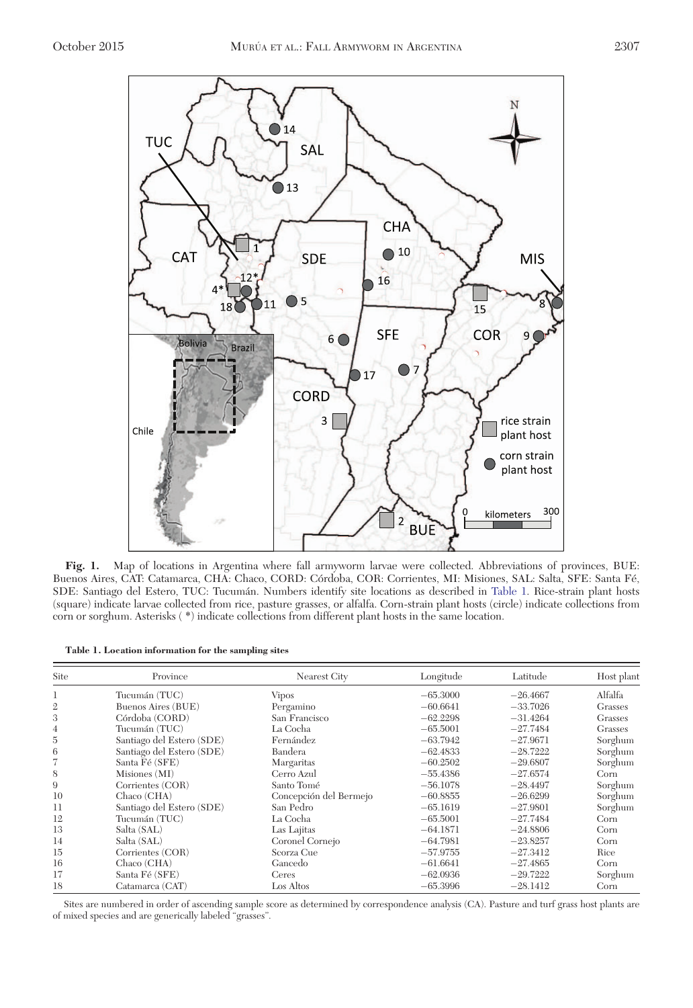<span id="page-2-0"></span>

Fig. 1. Map of locations in Argentina where fall armyworm larvae were collected. Abbreviations of provinces, BUE: Buenos Aires, CAT: Catamarca, CHA: Chaco, CORD: Córdoba, COR: Corrientes, MI: Misiones, SAL: Salta, SFE: Santa Fé, SDE: Santiago del Estero, TUC: Tucumán. Numbers identify site locations as described in Table 1. Rice-strain plant hosts (square) indicate larvae collected from rice, pasture grasses, or alfalfa. Corn-strain plant hosts (circle) indicate collections from corn or sorghum. Asterisks ( \*) indicate collections from different plant hosts in the same location.

|  |  |  |  | Table 1. Location information for the sampling sites |
|--|--|--|--|------------------------------------------------------|
|--|--|--|--|------------------------------------------------------|

| Site           | Province                  | Nearest City           | Longitude  | Latitude   | Host plant    |
|----------------|---------------------------|------------------------|------------|------------|---------------|
| 1              | Tucumán (TUC)             | <b>Vipos</b>           | $-65,3000$ | $-26.4667$ | Alfalfa       |
| $\overline{2}$ | Buenos Aires (BUE)        | Pergamino              | $-60.6641$ | $-33.7026$ | Grasses       |
| 3              | Córdoba (CORD)            | San Francisco          | $-62.2298$ | $-31.4264$ | Grasses       |
| 4              | Tucumán (TUC)             | La Cocha               | $-65,5001$ | $-27.7484$ | Grasses       |
| 5              | Santiago del Estero (SDE) | Fernández              | $-63.7942$ | $-27.9671$ | Sorghum       |
| 6              | Santiago del Estero (SDE) | Bandera                | $-62.4833$ | $-28.7222$ | Sorghum       |
|                | Santa Fé (SFE)            | Margaritas             | $-60.2502$ | $-29.6807$ | Sorghum       |
| 8              | Misiones (MI)             | Cerro Azul             | $-55.4386$ | $-27.6574$ | Corn          |
| 9              | Corrientes (COR)          | Santo Tomé             | $-56.1078$ | $-28.4497$ | Sorghum       |
| 10             | Chaco (CHA)               | Concepción del Bermejo | $-60.8855$ | $-26.6299$ | Sorghum       |
| 11             | Santiago del Estero (SDE) | San Pedro              | $-65.1619$ | $-27.9801$ | Sorghum       |
| 12             | Tucumán (TUC)             | La Cocha               | $-65,5001$ | $-27.7484$ | Corn          |
| 13             | Salta (SAL)               | Las Lajitas            | $-64.1871$ | $-24.8806$ | $_{\rm Corn}$ |
| 14             | Salta (SAL)               | Coronel Cornejo        | $-64.7981$ | $-23.8257$ | $_{\rm Corn}$ |
| 15             | Corrientes (COR)          | Scorza Cue             | $-57.9755$ | $-27.3412$ | Rice          |
| 16             | Chaco (CHA)               | Gancedo                | $-61.6641$ | $-27.4865$ | $_{\rm Corn}$ |
| 17             | Santa Fé (SFE)            | Ceres                  | $-62.0936$ | $-29.7222$ | Sorghum       |
| 18             | Catamarca (CAT)           | Los Altos              | $-65.3996$ | $-28.1412$ | $_{\rm Corn}$ |

Sites are numbered in order of ascending sample score as determined by correspondence analysis (CA). Pasture and turf grass host plants are of mixed species and are generically labeled "grasses".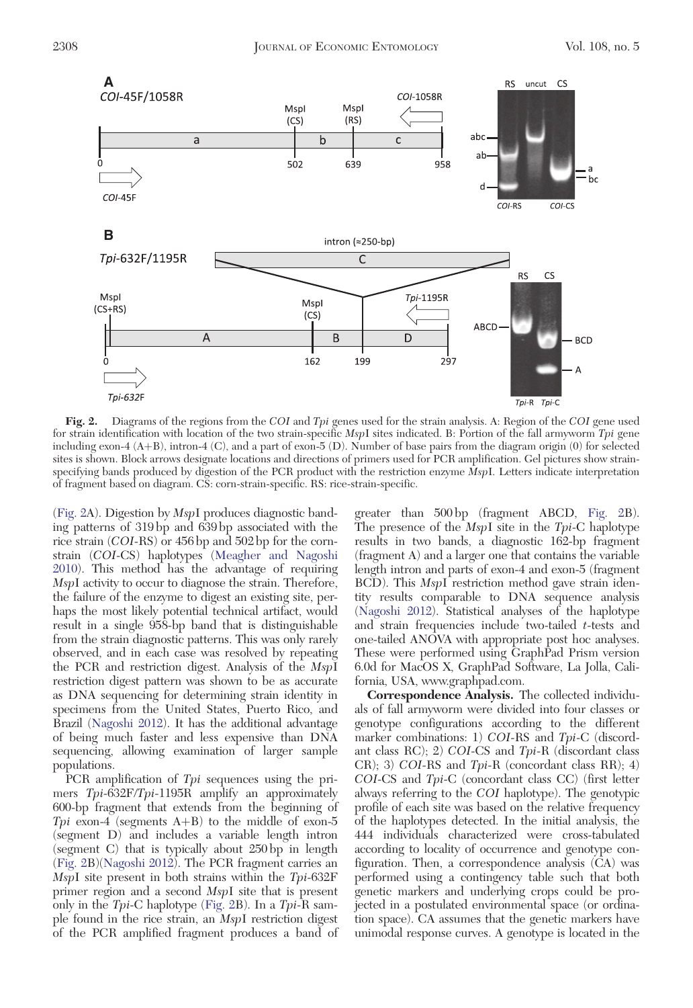

Fig. 2. Diagrams of the regions from the COI and Tpi genes used for the strain analysis. A: Region of the COI gene used for strain identification with location of the two strain-specific MspI sites indicated. B: Portion of the fall armyworm Tpi gene including exon-4  $(A+B)$ , intron-4  $(C)$ , and a part of exon-5  $(D)$ . Number of base pairs from the diagram origin  $(0)$  for selected sites is shown. Block arrows designate locations and directions of primers used for PCR amplification. Gel pictures show strainspecifying bands produced by digestion of the PCR product with the restriction enzyme MspI. Letters indicate interpretation of fragment based on diagram. CS: corn-strain-specific. RS: rice-strain-specific.

(Fig. 2A). Digestion by MspI produces diagnostic banding patterns of 319 bp and 639 bp associated with the rice strain (COI-RS) or 456 bp and 502 bp for the cornstrain (COI-CS) haplotypes ([Meagher and Nagoshi](#page-9-0) [2010](#page-9-0)). This method has the advantage of requiring MspI activity to occur to diagnose the strain. Therefore, the failure of the enzyme to digest an existing site, perhaps the most likely potential technical artifact, would result in a single 958-bp band that is distinguishable from the strain diagnostic patterns. This was only rarely observed, and in each case was resolved by repeating the PCR and restriction digest. Analysis of the MspI restriction digest pattern was shown to be as accurate as DNA sequencing for determining strain identity in specimens from the United States, Puerto Rico, and Brazil [\(Nagoshi 2012](#page-9-0)). It has the additional advantage of being much faster and less expensive than DNA sequencing, allowing examination of larger sample populations.

PCR amplification of Tpi sequences using the primers Tpi-632F/Tpi-1195R amplify an approximately 600-bp fragment that extends from the beginning of Tpi exon-4 (segments  $A+B$ ) to the middle of exon-5 (segment D) and includes a variable length intron (segment C) that is typically about 250 bp in length (Fig. 2B)([Nagoshi 2012](#page-9-0)). The PCR fragment carries an MspI site present in both strains within the Tpi-632F primer region and a second MspI site that is present only in the  $Tpi$ -C haplotype (Fig. 2B). In a  $Tpi$ -R sample found in the rice strain, an MspI restriction digest of the PCR amplified fragment produces a band of

greater than 500 bp (fragment ABCD, Fig. 2B). The presence of the MspI site in the Tpi-C haplotype results in two bands, a diagnostic 162-bp fragment (fragment A) and a larger one that contains the variable length intron and parts of exon-4 and exon-5 (fragment BCD). This MspI restriction method gave strain identity results comparable to DNA sequence analysis [\(Nagoshi 2012\)](#page-9-0). Statistical analyses of the haplotype and strain frequencies include two-tailed t-tests and one-tailed ANOVA with appropriate post hoc analyses. These were performed using GraphPad Prism version 6.0d for MacOS X, GraphPad Software, La Jolla, California, USA, [www.graphpad.com.](www.graphpad.com)

Correspondence Analysis. The collected individuals of fall armyworm were divided into four classes or genotype configurations according to the different marker combinations: 1) COI-RS and Tpi-C (discordant class RC); 2) COI-CS and Tpi-R (discordant class CR); 3) COI-RS and Tpi-R (concordant class RR); 4) COI-CS and Tpi-C (concordant class CC) (first letter always referring to the COI haplotype). The genotypic profile of each site was based on the relative frequency of the haplotypes detected. In the initial analysis, the 444 individuals characterized were cross-tabulated according to locality of occurrence and genotype configuration. Then, a correspondence analysis (CA) was performed using a contingency table such that both genetic markers and underlying crops could be projected in a postulated environmental space (or ordination space). CA assumes that the genetic markers have unimodal response curves. A genotype is located in the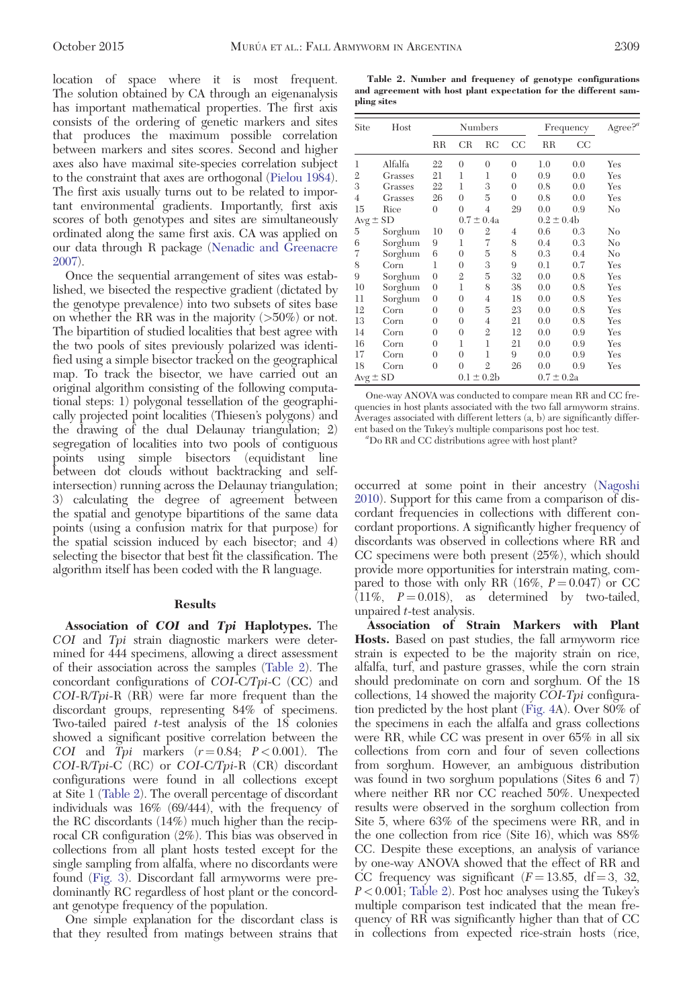<span id="page-4-0"></span>location of space where it is most frequent. The solution obtained by CA through an eigenanalysis has important mathematical properties. The first axis consists of the ordering of genetic markers and sites that produces the maximum possible correlation between markers and sites scores. Second and higher axes also have maximal site-species correlation subject to the constraint that axes are orthogonal [\(Pielou 1984](#page-10-0)). The first axis usually turns out to be related to important environmental gradients. Importantly, first axis scores of both genotypes and sites are simultaneously ordinated along the same first axis. CA was applied on our data through R package [\(Nenadic and Greenacre](#page-9-0) [2007](#page-9-0)).

Once the sequential arrangement of sites was established, we bisected the respective gradient (dictated by the genotype prevalence) into two subsets of sites base on whether the RR was in the majority (>50%) or not. The bipartition of studied localities that best agree with the two pools of sites previously polarized was identified using a simple bisector tracked on the geographical map. To track the bisector, we have carried out an original algorithm consisting of the following computational steps: 1) polygonal tessellation of the geographically projected point localities (Thiesen's polygons) and the drawing of the dual Delaunay triangulation; 2) segregation of localities into two pools of contiguous points using simple bisectors (equidistant line between dot clouds without backtracking and selfintersection) running across the Delaunay triangulation; 3) calculating the degree of agreement between the spatial and genotype bipartitions of the same data points (using a confusion matrix for that purpose) for the spatial scission induced by each bisector; and 4) selecting the bisector that best fit the classification. The algorithm itself has been coded with the R language.

### Results

Association of COI and Tpi Haplotypes. The COI and Tpi strain diagnostic markers were determined for 444 specimens, allowing a direct assessment of their association across the samples (Table 2). The concordant configurations of COI-C/Tpi-C (CC) and  $COI-R/Tpi-R$  (RR) were far more frequent than the discordant groups, representing 84% of specimens. Two-tailed paired t-test analysis of the 18 colonies showed a significant positive correlation between the COI and Tpi markers  $(r=0.84; P<0.001)$ . The COI-R/Tpi-C (RC) or COI-C/Tpi-R (CR) discordant configurations were found in all collections except at Site 1 (Table 2). The overall percentage of discordant individuals was 16% (69/444), with the frequency of the RC discordants (14%) much higher than the reciprocal CR configuration (2%). This bias was observed in collections from all plant hosts tested except for the single sampling from alfalfa, where no discordants were found [\(Fig. 3\)](#page-5-0). Discordant fall armyworms were predominantly RC regardless of host plant or the concordant genotype frequency of the population.

One simple explanation for the discordant class is that they resulted from matings between strains that

Table 2. Number and frequency of genotype configurations and agreement with host plant expectation for the different sampling sites

| Site           | Host    |                | Numbers         |                |                | Frequency |     | $\rm{Agree}^{\rm{2d}}$ |
|----------------|---------|----------------|-----------------|----------------|----------------|-----------|-----|------------------------|
|                |         | $_{\rm RR}$    | CR              | RC             | CC             | RR        | CC  |                        |
| 1              | Alfalfa | 22             | $\overline{0}$  | $\overline{0}$ | $\theta$       | 1.0       | 0.0 | Yes                    |
| 2              | Grasses | 21             | 1               | 1              | $\mathbf{0}$   | 0.9       | 0.0 | Yes                    |
| 3              | Grasses | 22             | 1               | 3              | $\theta$       | 0.8       | 0.0 | Yes                    |
| $\overline{4}$ | Grasses | 26             | $\overline{0}$  | 5              | $\overline{0}$ | 0.8       | 0.0 | Yes                    |
| 15             | Rice    | $\theta$       | $\overline{0}$  | $\overline{4}$ | 29             | 0.0       | 0.9 | No                     |
| $Avg \pm SD$   |         |                | $0.7 \pm 0.4a$  |                | $0.2 \pm 0.4$  |           |     |                        |
| 5              | Sorghum | 10             | $\overline{0}$  | $\overline{2}$ | 4              | 0.6       | 0.3 | No                     |
| 6              | Sorghum | 9              | 1               | 7              | 8              | 0.4       | 0.3 | No                     |
| 7              | Sorghum | 6              | $\overline{0}$  | 5              | 8              | 0.3       | 0.4 | No                     |
| 8              | Corn    | $\mathbf{1}$   | $\overline{0}$  | 3              | 9              | 0.1       | 0.7 | Yes                    |
| 9              | Sorghum | $\overline{0}$ | 2               | 5              | 32             | 0.0       | 0.8 | Yes                    |
| 10             | Sorghum | $\overline{0}$ | 1               | 8              | 38             | 0.0       | 0.8 | Yes                    |
| 11             | Sorghum | $\overline{0}$ | $\overline{0}$  | $\overline{4}$ | 18             | 0.0       | 0.8 | Yes                    |
| 12             | Corn    | $\overline{0}$ | $\overline{0}$  | 5              | 23             | 0.0       | 0.8 | Yes                    |
| 13             | Corn    | $\overline{0}$ | $\overline{0}$  | $\overline{4}$ | 21             | 0.0       | 0.8 | Yes                    |
| 14             | Corn    | $\theta$       | $\overline{0}$  | 2              | 12             | 0.0       | 0.9 | Yes                    |
| 16             | Corn    | $\overline{0}$ | 1               | $\mathbf{1}$   | 21             | 0.0       | 0.9 | Yes                    |
| 17             | Corn    | $\theta$       | $\overline{0}$  | 1              | 9              | 0.0       | 0.9 | Yes                    |
| 18             | Corn    | $\overline{0}$ | $\overline{0}$  | $\overline{2}$ | 26             | 0.0       | 0.9 | Yes                    |
| $Avg \pm SD$   |         |                | $0.1 \pm 0.2 b$ |                | $0.7 \pm 0.2a$ |           |     |                        |

One-way ANOVA was conducted to compare mean RR and CC frequencies in host plants associated with the two fall armyworm strains. Averages associated with different letters (a, b) are significantly different based on the Tukey's multiple comparisons post hoc test. <sup>a</sup>

Do RR and CC distributions agree with host plant?

occurred at some point in their ancestry [\(Nagoshi](#page-9-0) [2010](#page-9-0)). Support for this came from a comparison of discordant frequencies in collections with different concordant proportions. A significantly higher frequency of discordants was observed in collections where RR and CC specimens were both present (25%), which should provide more opportunities for interstrain mating, compared to those with only RR  $(16\%, P=0.047)$  or CC  $(11\%, P=0.018)$ , as determined by two-tailed, unpaired t-test analysis.

Association of Strain Markers with Plant Hosts. Based on past studies, the fall armyworm rice strain is expected to be the majority strain on rice, alfalfa, turf, and pasture grasses, while the corn strain should predominate on corn and sorghum. Of the 18 collections, 14 showed the majority COI-Tpi configuration predicted by the host plant [\(Fig. 4A](#page-6-0)). Over 80% of the specimens in each the alfalfa and grass collections were RR, while CC was present in over 65% in all six collections from corn and four of seven collections from sorghum. However, an ambiguous distribution was found in two sorghum populations (Sites 6 and 7) where neither RR nor CC reached 50%. Unexpected results were observed in the sorghum collection from Site 5, where 63% of the specimens were RR, and in the one collection from rice (Site 16), which was 88% CC. Despite these exceptions, an analysis of variance by one-way ANOVA showed that the effect of RR and CC frequency was significant  $(F = 13.85, df = 3, 32,$ P< 0.001; Table 2). Post hoc analyses using the Tukey's multiple comparison test indicated that the mean frequency of RR was significantly higher than that of CC in collections from expected rice-strain hosts (rice,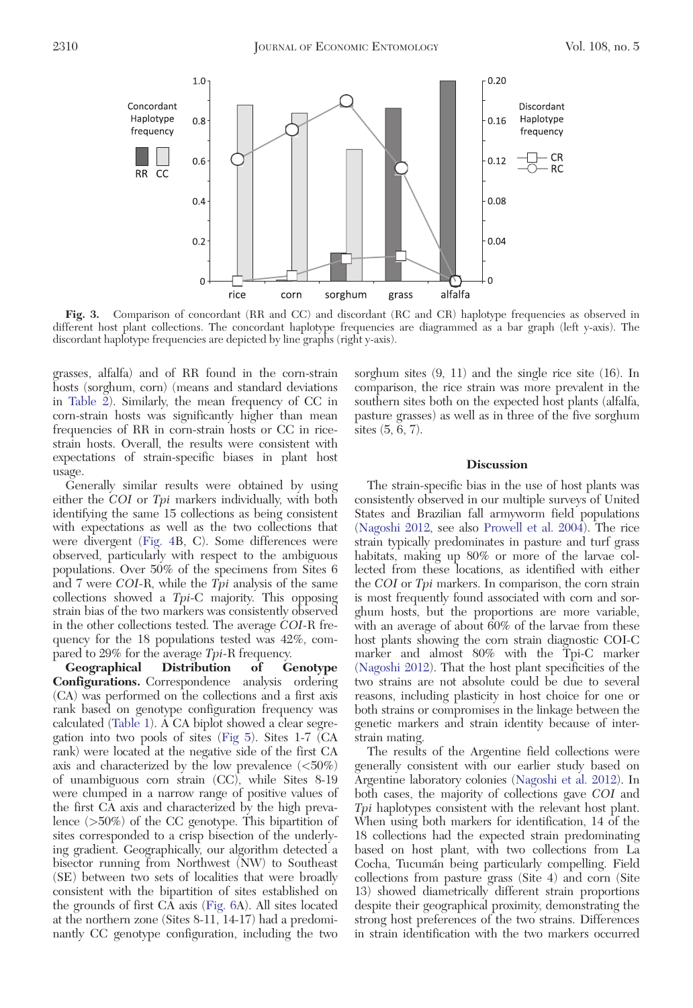<span id="page-5-0"></span>

Fig. 3. Comparison of concordant (RR and CC) and discordant (RC and CR) haplotype frequencies as observed in different host plant collections. The concordant haplotype frequencies are diagrammed as a bar graph (left y-axis). The discordant haplotype frequencies are depicted by line graphs (right y-axis).

grasses, alfalfa) and of RR found in the corn-strain hosts (sorghum, corn) (means and standard deviations in [Table 2\)](#page-4-0). Similarly, the mean frequency of CC in corn-strain hosts was significantly higher than mean frequencies of RR in corn-strain hosts or CC in ricestrain hosts. Overall, the results were consistent with expectations of strain-specific biases in plant host usage.

Generally similar results were obtained by using either the COI or Tpi markers individually, with both identifying the same 15 collections as being consistent with expectations as well as the two collections that were divergent ([Fig. 4](#page-6-0)B, C). Some differences were observed, particularly with respect to the ambiguous populations. Over 50% of the specimens from Sites 6 and 7 were COI-R, while the Tpi analysis of the same collections showed a Tpi-C majority. This opposing strain bias of the two markers was consistently observed in the other collections tested. The average COI-R frequency for the 18 populations tested was 42%, compared to 29% for the average Tpi-R frequency.

Geographical Distribution of Genotype Configurations. Correspondence analysis ordering (CA) was performed on the collections and a first axis rank based on genotype configuration frequency was calculated [\(Table 1](#page-2-0)). A CA biplot showed a clear segre-gation into two pools of sites [\(Fig 5](#page-7-0)). Sites  $1-7$  (CA rank) were located at the negative side of the first CA axis and characterized by the low prevalence  $(<\!50\%)$ of unambiguous corn strain (CC), while Sites 8-19 were clumped in a narrow range of positive values of the first CA axis and characterized by the high prevalence (>50%) of the CC genotype. This bipartition of sites corresponded to a crisp bisection of the underlying gradient. Geographically, our algorithm detected a bisector running from Northwest (NW) to Southeast (SE) between two sets of localities that were broadly consistent with the bipartition of sites established on the grounds of first CA axis [\(Fig. 6](#page-7-0)A). All sites located at the northern zone (Sites 8-11, 14-17) had a predominantly CC genotype configuration, including the two

sorghum sites (9, 11) and the single rice site (16). In comparison, the rice strain was more prevalent in the southern sites both on the expected host plants (alfalfa, pasture grasses) as well as in three of the five sorghum sites (5, 6, 7).

## **Discussion**

The strain-specific bias in the use of host plants was consistently observed in our multiple surveys of United States and Brazilian fall armyworm field populations [\(Nagoshi 2012](#page-9-0), see also [Prowell et al. 2004\)](#page-10-0). The rice strain typically predominates in pasture and turf grass habitats, making up 80% or more of the larvae collected from these locations, as identified with either the COI or Tpi markers. In comparison, the corn strain is most frequently found associated with corn and sorghum hosts, but the proportions are more variable, with an average of about 60% of the larvae from these host plants showing the corn strain diagnostic COI-C marker and almost 80% with the Tpi-C marker [\(Nagoshi 2012\)](#page-9-0). That the host plant specificities of the two strains are not absolute could be due to several reasons, including plasticity in host choice for one or both strains or compromises in the linkage between the genetic markers and strain identity because of interstrain mating.

The results of the Argentine field collections were generally consistent with our earlier study based on Argentine laboratory colonies [\(Nagoshi et al. 2012\)](#page-9-0). In both cases, the majority of collections gave COI and Tpi haplotypes consistent with the relevant host plant. When using both markers for identification, 14 of the 18 collections had the expected strain predominating based on host plant, with two collections from La Cocha, Tucumán being particularly compelling. Field collections from pasture grass (Site 4) and corn (Site 13) showed diametrically different strain proportions despite their geographical proximity, demonstrating the strong host preferences of the two strains. Differences in strain identification with the two markers occurred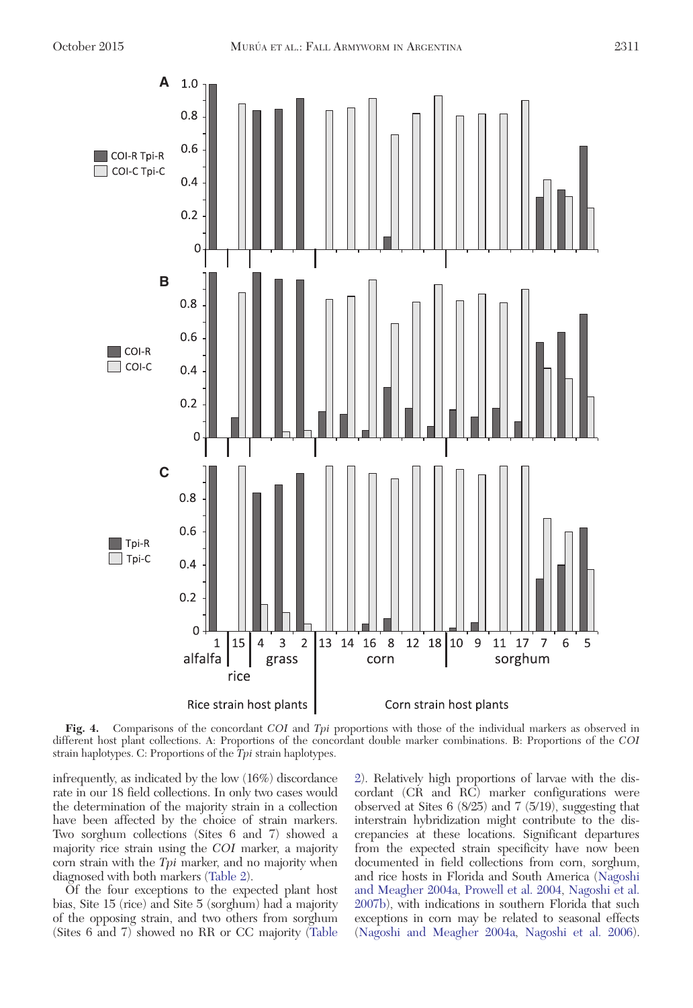<span id="page-6-0"></span>

Fig. 4. Comparisons of the concordant COI and  $Tpi$  proportions with those of the individual markers as observed in different host plant collections. A: Proportions of the concordant double marker combinations. B: Proportions of the COI strain haplotypes. C: Proportions of the Tpi strain haplotypes.

infrequently, as indicated by the low (16%) discordance rate in our 18 field collections. In only two cases would the determination of the majority strain in a collection have been affected by the choice of strain markers. Two sorghum collections (Sites 6 and 7) showed a majority rice strain using the COI marker, a majority corn strain with the Tpi marker, and no majority when diagnosed with both markers [\(Table 2\)](#page-4-0).

Of the four exceptions to the expected plant host bias, Site 15 (rice) and Site 5 (sorghum) had a majority of the opposing strain, and two others from sorghum (Sites 6 and 7) showed no RR or CC majority [\(Table](#page-4-0)

[2\)](#page-4-0). Relatively high proportions of larvae with the discordant (CR and RC) marker configurations were observed at Sites 6 (8/25) and 7 (5/19), suggesting that interstrain hybridization might contribute to the discrepancies at these locations. Significant departures from the expected strain specificity have now been documented in field collections from corn, sorghum, and rice hosts in Florida and South America [\(Nagoshi](#page-9-0) [and Meagher 2004a](#page-9-0), [Prowell et al. 2004](#page-10-0), [Nagoshi et al.](#page-9-0) [2007b\)](#page-9-0), with indications in southern Florida that such exceptions in corn may be related to seasonal effects [\(Nagoshi and Meagher 2004a](#page-9-0), [Nagoshi et al. 2006](#page-9-0)).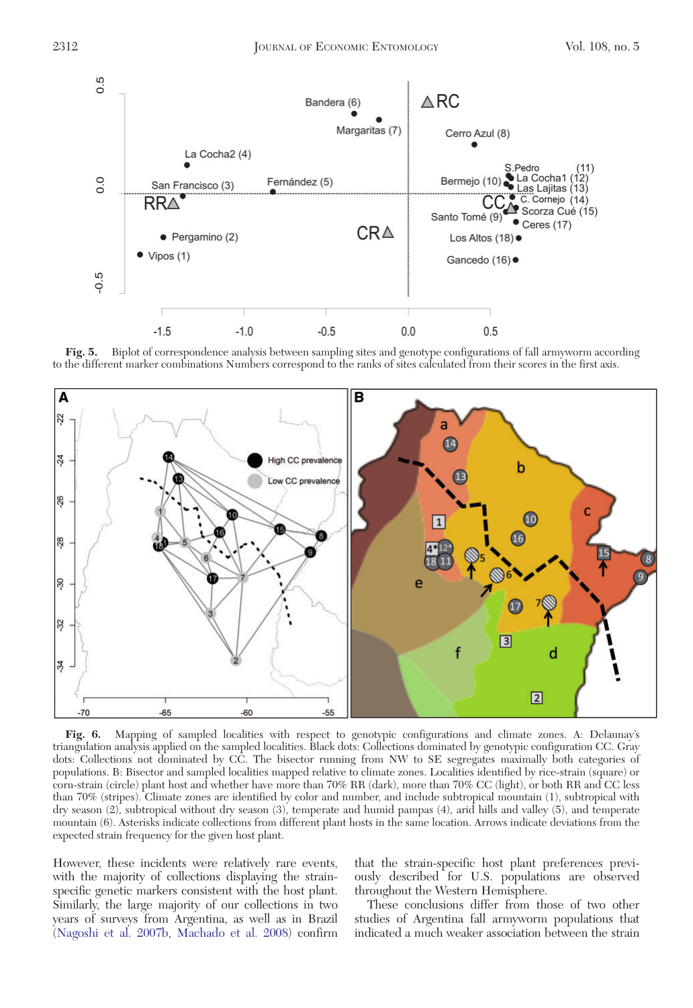<span id="page-7-0"></span>

Fig. 5. Biplot of correspondence analysis between sampling sites and genotype configurations of fall armyworm according to the different marker combinations Numbers correspond to the ranks of sites calculated from their scores in the first axis.



Fig. 6. Mapping of sampled localities with respect to genotypic configurations and climate zones. A: Delaunay's triangulation analysis applied on the sampled localities. Black dots: Collections dominated by genotypic configuration CC. Gray dots: Collections not dominated by CC. The bisector running from NW to SE segregates maximally both categories of populations. B: Bisector and sampled localities mapped relative to climate zones. Localities identified by rice-strain (square) or corn-strain (circle) plant host and whether have more than 70% RR (dark), more than 70% CC (light), or both RR and CC less than 70% (stripes). Climate zones are identified by color and number, and include subtropical mountain (1), subtropical with dry season (2), subtropical without dry season (3), temperate and humid pampas (4), arid hills and valley (5), and temperate mountain (6). Asterisks indicate collections from different plant hosts in the same location. Arrows indicate deviations from the expected strain frequency for the given host plant.

However, these incidents were relatively rare events, with the majority of collections displaying the strainspecific genetic markers consistent with the host plant. Similarly, the large majority of our collections in two years of surveys from Argentina, as well as in Brazil ([Nagoshi et al. 2007b](#page-9-0), [Machado et al. 2008\)](#page-9-0) confirm

that the strain-specific host plant preferences previously described for U.S. populations are observed throughout the Western Hemisphere.

These conclusions differ from those of two other studies of Argentina fall armyworm populations that indicated a much weaker association between the strain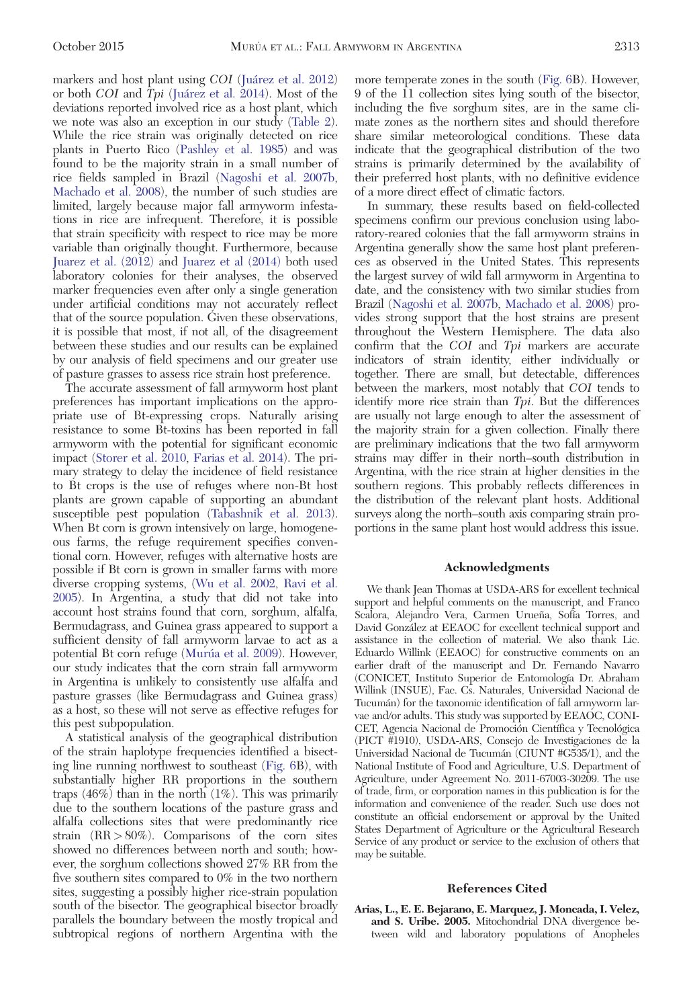<span id="page-8-0"></span>markers and host plant using COI (Juárez et al. 2012) or both COI and Tpi (Juárez et al. 2014). Most of the deviations reported involved rice as a host plant, which we note was also an exception in our study [\(Table 2](#page-4-0)). While the rice strain was originally detected on rice plants in Puerto Rico ([Pashley et al. 1985\)](#page-9-0) and was found to be the majority strain in a small number of rice fields sampled in Brazil [\(Nagoshi et al. 2007b](#page-9-0), [Machado et al. 2008\)](#page-9-0), the number of such studies are limited, largely because major fall armyworm infestations in rice are infrequent. Therefore, it is possible that strain specificity with respect to rice may be more variable than originally thought. Furthermore, because [Juarez et al. \(2012\)](#page-9-0) and [Juarez et al \(2014\)](#page-9-0) both used laboratory colonies for their analyses, the observed marker frequencies even after only a single generation under artificial conditions may not accurately reflect that of the source population. Given these observations, it is possible that most, if not all, of the disagreement between these studies and our results can be explained by our analysis of field specimens and our greater use of pasture grasses to assess rice strain host preference.

The accurate assessment of fall armyworm host plant preferences has important implications on the appropriate use of Bt-expressing crops. Naturally arising resistance to some Bt-toxins has been reported in fall armyworm with the potential for significant economic impact [\(Storer et al. 2010](#page-10-0), [Farias et al. 2014\)](#page-9-0). The primary strategy to delay the incidence of field resistance to Bt crops is the use of refuges where non-Bt host plants are grown capable of supporting an abundant susceptible pest population [\(Tabashnik et al. 2013](#page-10-0)). When Bt corn is grown intensively on large, homogeneous farms, the refuge requirement specifies conventional corn. However, refuges with alternative hosts are possible if Bt corn is grown in smaller farms with more diverse cropping systems, [\(Wu et al. 2002,](#page-10-0) [Ravi et al.](#page-10-0) [2005](#page-10-0)). In Argentina, a study that did not take into account host strains found that corn, sorghum, alfalfa, Bermudagrass, and Guinea grass appeared to support a sufficient density of fall armyworm larvae to act as a potential Bt corn refuge (Murúa et al. 2009). However, our study indicates that the corn strain fall armyworm in Argentina is unlikely to consistently use alfalfa and pasture grasses (like Bermudagrass and Guinea grass) as a host, so these will not serve as effective refuges for this pest subpopulation.

A statistical analysis of the geographical distribution of the strain haplotype frequencies identified a bisecting line running northwest to southeast ([Fig. 6B](#page-7-0)), with substantially higher RR proportions in the southern traps (46%) than in the north (1%). This was primarily due to the southern locations of the pasture grass and alfalfa collections sites that were predominantly rice strain  $(RR > 80\%)$ . Comparisons of the corn sites showed no differences between north and south; however, the sorghum collections showed 27% RR from the five southern sites compared to 0% in the two northern sites, suggesting a possibly higher rice-strain population south of the bisector. The geographical bisector broadly parallels the boundary between the mostly tropical and subtropical regions of northern Argentina with the

more temperate zones in the south [\(Fig. 6B](#page-7-0)). However, 9 of the 11 collection sites lying south of the bisector, including the five sorghum sites, are in the same climate zones as the northern sites and should therefore share similar meteorological conditions. These data indicate that the geographical distribution of the two strains is primarily determined by the availability of their preferred host plants, with no definitive evidence of a more direct effect of climatic factors.

In summary, these results based on field-collected specimens confirm our previous conclusion using laboratory-reared colonies that the fall armyworm strains in Argentina generally show the same host plant preferences as observed in the United States. This represents the largest survey of wild fall armyworm in Argentina to date, and the consistency with two similar studies from Brazil [\(Nagoshi et al. 2007b,](#page-9-0) [Machado et al. 2008](#page-9-0)) provides strong support that the host strains are present throughout the Western Hemisphere. The data also confirm that the COI and Tpi markers are accurate indicators of strain identity, either individually or together. There are small, but detectable, differences between the markers, most notably that COI tends to identify more rice strain than Tpi. But the differences are usually not large enough to alter the assessment of the majority strain for a given collection. Finally there are preliminary indications that the two fall armyworm strains may differ in their north–south distribution in Argentina, with the rice strain at higher densities in the southern regions. This probably reflects differences in the distribution of the relevant plant hosts. Additional surveys along the north–south axis comparing strain proportions in the same plant host would address this issue.

#### Acknowledgments

We thank Jean Thomas at USDA-ARS for excellent technical support and helpful comments on the manuscript, and Franco Scalora, Alejandro Vera, Carmen Urueña, Sofía Torres, and David González at EEAOC for excellent technical support and assistance in the collection of material. We also thank Lic. Eduardo Willink (EEAOC) for constructive comments on an earlier draft of the manuscript and Dr. Fernando Navarro (CONICET, Instituto Superior de Entomología Dr. Abraham Willink (INSUE), Fac. Cs. Naturales, Universidad Nacional de Tucumán) for the taxonomic identification of fall armyworm larvae and/or adults. This study was supported by EEAOC, CONI-CET, Agencia Nacional de Promoción Científica y Tecnológica (PICT #1910), USDA-ARS, Consejo de Investigaciones de la Universidad Nacional de Tucumán (CIUNT #G535/1), and the National Institute of Food and Agriculture, U.S. Department of Agriculture, under Agreement No. 2011-67003-30209. The use of trade, firm, or corporation names in this publication is for the information and convenience of the reader. Such use does not constitute an official endorsement or approval by the United States Department of Agriculture or the Agricultural Research Service of any product or service to the exclusion of others that may be suitable.

#### References Cited

Arias, L., E. E. Bejarano, E. Marquez, J. Moncada, I. Velez, and S. Uribe. 2005. Mitochondrial DNA divergence between wild and laboratory populations of Anopheles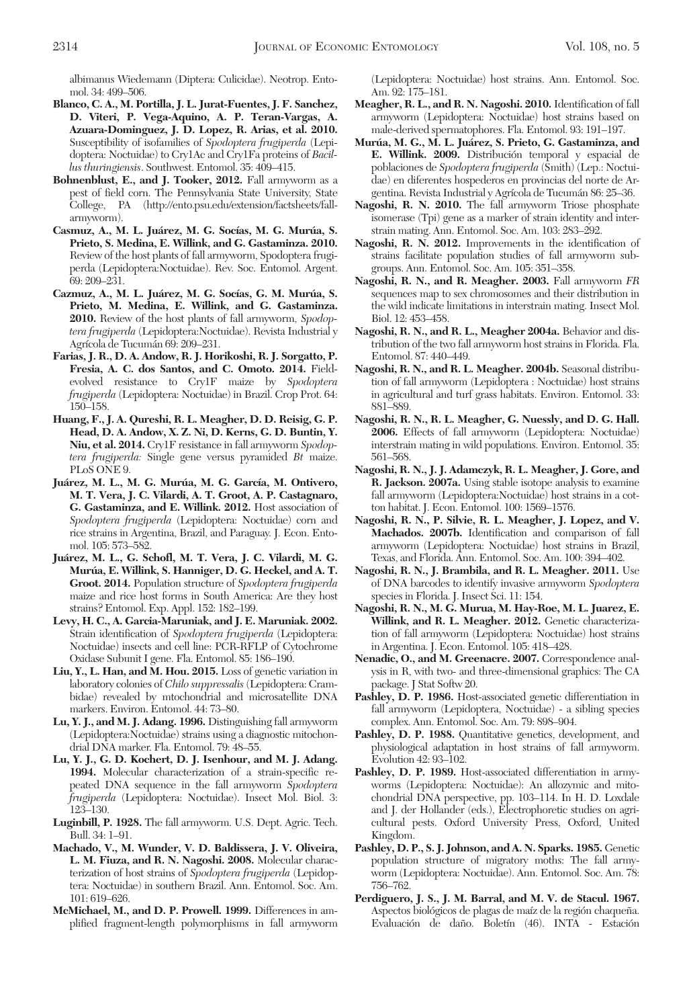<span id="page-9-0"></span>albimanus Wiedemann (Diptera: Culicidae). Neotrop. Entomol. 34: 499–506.

- Blanco, C. A., M. Portilla, J. L. Jurat-Fuentes, J. F. Sanchez, D. Viteri, P. Vega-Aquino, A. P. Teran-Vargas, A. Azuara-Dominguez, J. D. Lopez, R. Arias, et al. 2010. Susceptibility of isofamilies of Spodoptera frugiperda (Lepidoptera: Noctuidae) to Cry1Ac and Cry1Fa proteins of Bacillus thuringiensis. Southwest. Entomol. 35: 409–415.
- Bohnenblust, E., and J. Tooker, 2012. Fall armyworm as a pest of field corn. The Pennsylvania State University, State College, PA ([http://ento.psu.edu/extension/factsheets/fall](http://ento.psu.edu/extension/factsheets/fall-armyworm)[armyworm\)](http://ento.psu.edu/extension/factsheets/fall-armyworm).
- Casmuz, A., M. L. Juárez, M. G. Socías, M. G. Murúa, S. Prieto, S. Medina, E. Willink, and G. Gastaminza. 2010. Review of the host plants of fall armyworm, Spodoptera frugiperda (Lepidoptera:Noctuidae). Rev. Soc. Entomol. Argent. 69: 209–231.
- Cazmuz, A., M. L. Juárez, M. G. Socías, G. M. Murúa, S. Prieto, M. Medina, E. Willink, and G. Gastaminza. 2010. Review of the host plants of fall armyworm, Spodoptera frugiperda (Lepidoptera:Noctuidae). Revista Industrial y Agrícola de Tucumán 69: 209–231.
- Farias, J. R., D. A. Andow, R. J. Horikoshi, R. J. Sorgatto, P. Fresia, A. C. dos Santos, and C. Omoto. 2014. Fieldevolved resistance to Cry1F maize by Spodoptera frugiperda (Lepidoptera: Noctuidae) in Brazil. Crop Prot. 64: 150–158.
- Huang, F., J. A. Qureshi, R. L. Meagher, D. D. Reisig, G. P. Head, D. A. Andow, X. Z. Ni, D. Kerns, G. D. Buntin, Y. Niu, et al. 2014. Cry1F resistance in fall armyworm Spodoptera frugiperda: Single gene versus pyramided Bt maize. PLoS ONE 9.
- Juárez, M. L., M. G. Murúa, M. G. García, M. Ontivero, M. T. Vera, J. C. Vilardi, A. T. Groot, A. P. Castagnaro, G. Gastaminza, and E. Willink. 2012. Host association of Spodoptera frugiperda (Lepidoptera: Noctuidae) corn and rice strains in Argentina, Brazil, and Paraguay. J. Econ. Entomol. 105: 573–582.
- Jua´rez, M. L., G. Schofl, M. T. Vera, J. C. Vilardi, M. G. Murúa, E. Willink, S. Hanniger, D. G. Heckel, and A. T. Groot. 2014. Population structure of Spodoptera frugiperda maize and rice host forms in South America: Are they host strains? Entomol. Exp. Appl. 152: 182–199.
- Levy, H. C., A. Garcia-Maruniak, and J. E. Maruniak. 2002. Strain identification of Spodoptera frugiperda (Lepidoptera: Noctuidae) insects and cell line: PCR-RFLP of Cytochrome Oxidase Subunit I gene. Fla. Entomol. 85: 186–190.
- Liu, Y., L. Han, and M. Hou. 2015. Loss of genetic variation in laboratory colonies of *Chilo suppressalis* (Lepidoptera: Crambidae) revealed by mtochondrial and microsatellite DNA markers. Environ. Entomol. 44: 73–80.
- Lu, Y. J., and M. J. Adang. 1996. Distinguishing fall armyworm (Lepidoptera:Noctuidae) strains using a diagnostic mitochondrial DNA marker. Fla. Entomol. 79: 48–55.
- Lu, Y. J., G. D. Kochert, D. J. Isenhour, and M. J. Adang. 1994. Molecular characterization of a strain-specific repeated DNA sequence in the fall armyworm Spodoptera frugiperda (Lepidoptera: Noctuidae). Insect Mol. Biol. 3: 123–130.
- Luginbill, P. 1928. The fall armyworm. U.S. Dept. Agric. Tech. Bull. 34: 1–91.
- Machado, V., M. Wunder, V. D. Baldissera, J. V. Oliveira, L. M. Fiuza, and R. N. Nagoshi. 2008. Molecular characterization of host strains of Spodoptera frugiperda (Lepidoptera: Noctuidae) in southern Brazil. Ann. Entomol. Soc. Am. 101: 619–626.
- McMichael, M., and D. P. Prowell. 1999. Differences in amplified fragment-length polymorphisms in fall armyworm

(Lepidoptera: Noctuidae) host strains. Ann. Entomol. Soc. Am. 92: 175–181.

- Meagher, R. L., and R. N. Nagoshi. 2010. Identification of fall armyworm (Lepidoptera: Noctuidae) host strains based on male-derived spermatophores. Fla. Entomol. 93: 191–197.
- Murúa, M. G., M. L. Juárez, S. Prieto, G. Gastaminza, and E. Willink. 2009. Distribución temporal y espacial de poblaciones de Spodoptera frugiperda (Smith) (Lep.: Noctuidae) en diferentes hospederos en provincias del norte de Argentina. Revista Industrial y Agrícola de Tucumán 86: 25–36.
- Nagoshi, R. N. 2010. The fall armyworm Triose phosphate isomerase (Tpi) gene as a marker of strain identity and interstrain mating. Ann. Entomol. Soc. Am. 103: 283–292.
- Nagoshi, R. N. 2012. Improvements in the identification of strains facilitate population studies of fall armyworm subgroups. Ann. Entomol. Soc. Am. 105: 351–358.
- Nagoshi, R. N., and R. Meagher. 2003. Fall armyworm FR sequences map to sex chromosomes and their distribution in the wild indicate limitations in interstrain mating. Insect Mol. Biol. 12: 453–458.
- Nagoshi, R. N., and R. L., Meagher 2004a. Behavior and distribution of the two fall armyworm host strains in Florida. Fla. Entomol. 87: 440–449.
- Nagoshi, R. N., and R. L. Meagher. 2004b. Seasonal distribution of fall armyworm (Lepidoptera : Noctuidae) host strains in agricultural and turf grass habitats. Environ. Entomol. 33: 881–889.
- Nagoshi, R. N., R. L. Meagher, G. Nuessly, and D. G. Hall. 2006. Effects of fall armyworm (Lepidoptera: Noctuidae) interstrain mating in wild populations. Environ. Entomol. 35: 561–568.
- Nagoshi, R. N., J. J. Adamczyk, R. L. Meagher, J. Gore, and R. Jackson. 2007a. Using stable isotope analysis to examine fall armyworm (Lepidoptera:Noctuidae) host strains in a cotton habitat. J. Econ. Entomol. 100: 1569–1576.
- Nagoshi, R. N., P. Silvie, R. L. Meagher, J. Lopez, and V. Machados. 2007b. Identification and comparison of fall armyworm (Lepidoptera: Noctuidae) host strains in Brazil, Texas, and Florida. Ann. Entomol. Soc. Am. 100: 394–402.
- Nagoshi, R. N., J. Brambila, and R. L. Meagher. 2011. Use of DNA barcodes to identify invasive armyworm Spodoptera species in Florida. J. Insect Sci. 11: 154.
- Nagoshi, R. N., M. G. Murua, M. Hay-Roe, M. L. Juarez, E. Willink, and R. L. Meagher. 2012. Genetic characterization of fall armyworm (Lepidoptera: Noctuidae) host strains in Argentina. J. Econ. Entomol. 105: 418–428.
- Nenadic, O., and M. Greenacre. 2007. Correspondence analysis in R, with two- and three-dimensional graphics: The CA package. J Stat Softw 20.
- Pashley, D. P. 1986. Host-associated genetic differentiation in fall armyworm (Lepidoptera, Noctuidae) - a sibling species complex. Ann. Entomol. Soc. Am. 79: 898–904.
- Pashley, D. P. 1988. Quantitative genetics, development, and physiological adaptation in host strains of fall armyworm. Evolution 42: 93–102.
- Pashley, D. P. 1989. Host-associated differentiation in armyworms (Lepidoptera: Noctuidae): An allozymic and mitochondrial DNA perspective, pp. 103–114. In H. D. Loxdale and J. der Hollander (eds.), Electrophoretic studies on agricultural pests. Oxford University Press, Oxford, United Kingdom.
- Pashley, D. P., S. J. Johnson, and A. N. Sparks. 1985. Genetic population structure of migratory moths: The fall armyworm (Lepidoptera: Noctuidae). Ann. Entomol. Soc. Am. 78: 756–762.
- Perdiguero, J. S., J. M. Barral, and M. V. de Stacul. 1967. Aspectos biológicos de plagas de maíz de la región chaqueña. Evaluación de daño. Boletín (46). INTA - Estación